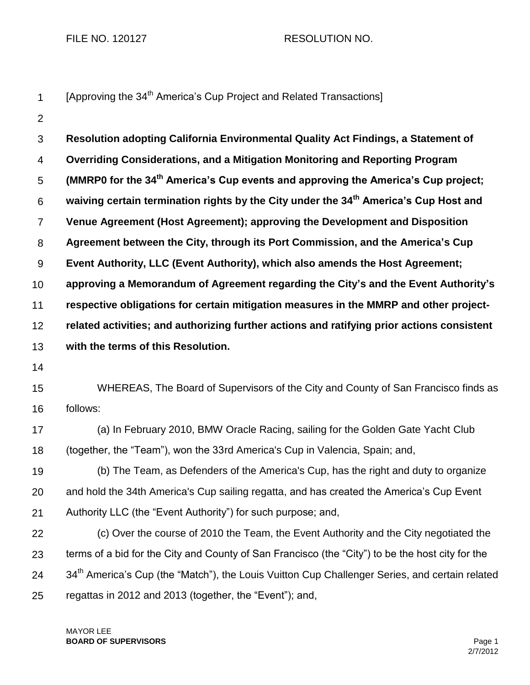FILE NO. 120127 RESOLUTION NO.

|  |  | [Approving the 34 <sup>th</sup> America's Cup Project and Related Transactions] |  |
|--|--|---------------------------------------------------------------------------------|--|
|--|--|---------------------------------------------------------------------------------|--|

2

3 4 5 6 7 8 9 10 11 12 13 14 15 16 17 18 19 20 21 22 23 24 25 **Resolution adopting California Environmental Quality Act Findings, a Statement of Overriding Considerations, and a Mitigation Monitoring and Reporting Program (MMRP0 for the 34th America's Cup events and approving the America's Cup project; waiving certain termination rights by the City under the 34th America's Cup Host and Venue Agreement (Host Agreement); approving the Development and Disposition Agreement between the City, through its Port Commission, and the America's Cup Event Authority, LLC (Event Authority), which also amends the Host Agreement; approving a Memorandum of Agreement regarding the City's and the Event Authority's respective obligations for certain mitigation measures in the MMRP and other projectrelated activities; and authorizing further actions and ratifying prior actions consistent with the terms of this Resolution.**  WHEREAS, The Board of Supervisors of the City and County of San Francisco finds as follows: (a) In February 2010, BMW Oracle Racing, sailing for the Golden Gate Yacht Club (together, the "Team"), won the 33rd America's Cup in Valencia, Spain; and, (b) The Team, as Defenders of the America's Cup, has the right and duty to organize and hold the 34th America's Cup sailing regatta, and has created the America's Cup Event Authority LLC (the "Event Authority") for such purpose; and, (c) Over the course of 2010 the Team, the Event Authority and the City negotiated the terms of a bid for the City and County of San Francisco (the "City") to be the host city for the 34<sup>th</sup> America's Cup (the "Match"), the Louis Vuitton Cup Challenger Series, and certain related regattas in 2012 and 2013 (together, the "Event"); and,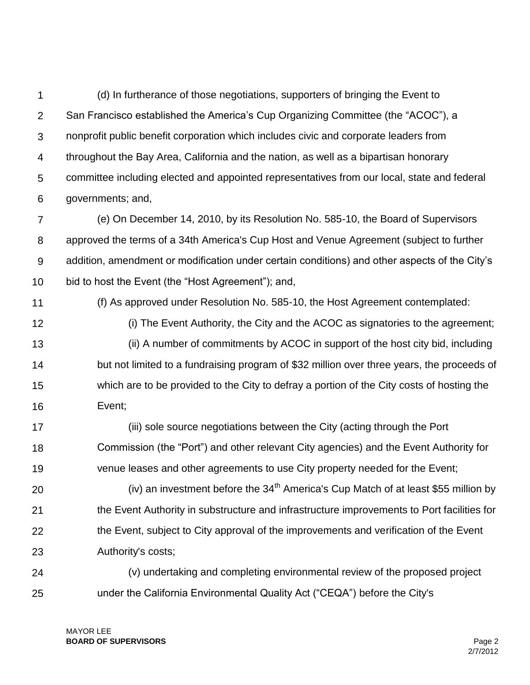1  $\mathcal{P}$ 3 4 5 6 (d) In furtherance of those negotiations, supporters of bringing the Event to San Francisco established the America's Cup Organizing Committee (the "ACOC"), a nonprofit public benefit corporation which includes civic and corporate leaders from throughout the Bay Area, California and the nation, as well as a bipartisan honorary committee including elected and appointed representatives from our local, state and federal governments; and,

7 8 9 10 (e) On December 14, 2010, by its Resolution No. 585-10, the Board of Supervisors approved the terms of a 34th America's Cup Host and Venue Agreement (subject to further addition, amendment or modification under certain conditions) and other aspects of the City's bid to host the Event (the "Host Agreement"); and,

- 11
- 12

13

14

15

16

(i) The Event Authority, the City and the ACOC as signatories to the agreement; (ii) A number of commitments by ACOC in support of the host city bid, including but not limited to a fundraising program of \$32 million over three years, the proceeds of which are to be provided to the City to defray a portion of the City costs of hosting the Event;

(f) As approved under Resolution No. 585-10, the Host Agreement contemplated:

17 18 19 (iii) sole source negotiations between the City (acting through the Port Commission (the "Port") and other relevant City agencies) and the Event Authority for venue leases and other agreements to use City property needed for the Event;

20 21 22 23 (iv) an investment before the  $34<sup>th</sup>$  America's Cup Match of at least \$55 million by the Event Authority in substructure and infrastructure improvements to Port facilities for the Event, subject to City approval of the improvements and verification of the Event Authority's costs;

24 25 (v) undertaking and completing environmental review of the proposed project under the California Environmental Quality Act ("CEQA") before the City's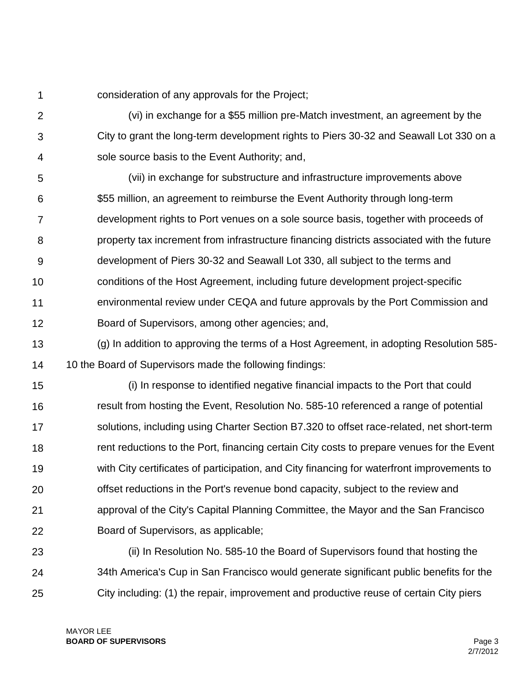1 consideration of any approvals for the Project;

 $\mathcal{P}$ 3 4 (vi) in exchange for a \$55 million pre-Match investment, an agreement by the City to grant the long-term development rights to Piers 30-32 and Seawall Lot 330 on a sole source basis to the Event Authority; and,

5 6 7 8 9 10 11 12 (vii) in exchange for substructure and infrastructure improvements above \$55 million, an agreement to reimburse the Event Authority through long-term development rights to Port venues on a sole source basis, together with proceeds of property tax increment from infrastructure financing districts associated with the future development of Piers 30-32 and Seawall Lot 330, all subject to the terms and conditions of the Host Agreement, including future development project-specific environmental review under CEQA and future approvals by the Port Commission and Board of Supervisors, among other agencies; and,

13 14 (g) In addition to approving the terms of a Host Agreement, in adopting Resolution 585- 10 the Board of Supervisors made the following findings:

15 16 17 18 19 20 21 22 (i) In response to identified negative financial impacts to the Port that could result from hosting the Event, Resolution No. 585-10 referenced a range of potential solutions, including using Charter Section B7.320 to offset race-related, net short-term rent reductions to the Port, financing certain City costs to prepare venues for the Event with City certificates of participation, and City financing for waterfront improvements to offset reductions in the Port's revenue bond capacity, subject to the review and approval of the City's Capital Planning Committee, the Mayor and the San Francisco Board of Supervisors, as applicable;

23 24 25 (ii) In Resolution No. 585-10 the Board of Supervisors found that hosting the 34th America's Cup in San Francisco would generate significant public benefits for the City including: (1) the repair, improvement and productive reuse of certain City piers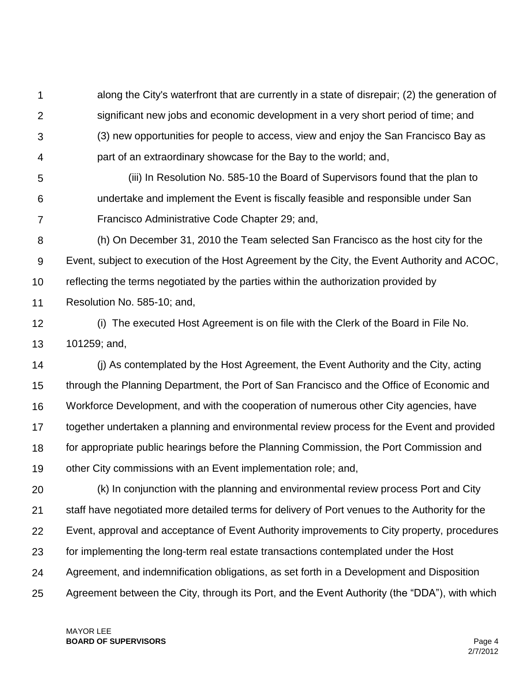1  $\mathcal{P}$ 3 4 along the City's waterfront that are currently in a state of disrepair; (2) the generation of significant new jobs and economic development in a very short period of time; and (3) new opportunities for people to access, view and enjoy the San Francisco Bay as part of an extraordinary showcase for the Bay to the world; and,

5 6 7 (iii) In Resolution No. 585-10 the Board of Supervisors found that the plan to undertake and implement the Event is fiscally feasible and responsible under San Francisco Administrative Code Chapter 29; and,

8 9 10 (h) On December 31, 2010 the Team selected San Francisco as the host city for the Event, subject to execution of the Host Agreement by the City, the Event Authority and ACOC, reflecting the terms negotiated by the parties within the authorization provided by

11 Resolution No. 585-10; and,

12 13 (i) The executed Host Agreement is on file with the Clerk of the Board in File No. 101259; and,

14 15 16 17 18 19 (j) As contemplated by the Host Agreement, the Event Authority and the City, acting through the Planning Department, the Port of San Francisco and the Office of Economic and Workforce Development, and with the cooperation of numerous other City agencies, have together undertaken a planning and environmental review process for the Event and provided for appropriate public hearings before the Planning Commission, the Port Commission and other City commissions with an Event implementation role; and,

20 21 22 23 24 25 (k) In conjunction with the planning and environmental review process Port and City staff have negotiated more detailed terms for delivery of Port venues to the Authority for the Event, approval and acceptance of Event Authority improvements to City property, procedures for implementing the long-term real estate transactions contemplated under the Host Agreement, and indemnification obligations, as set forth in a Development and Disposition Agreement between the City, through its Port, and the Event Authority (the "DDA"), with which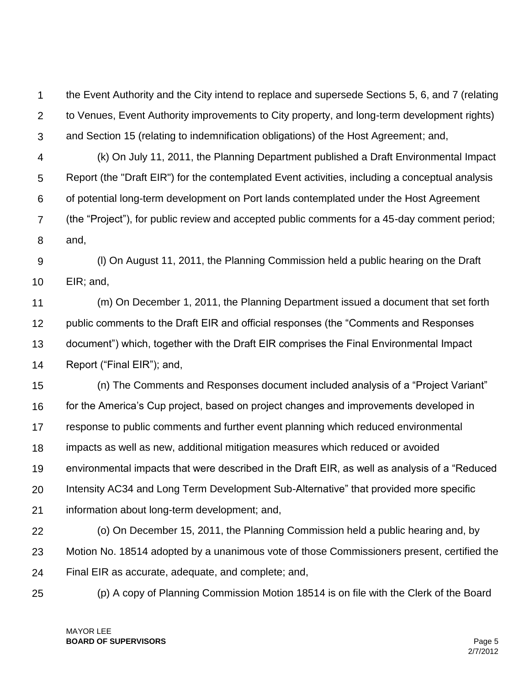1  $\mathcal{P}$ 3 the Event Authority and the City intend to replace and supersede Sections 5, 6, and 7 (relating to Venues, Event Authority improvements to City property, and long-term development rights) and Section 15 (relating to indemnification obligations) of the Host Agreement; and,

4 5 6 7 8 (k) On July 11, 2011, the Planning Department published a Draft Environmental Impact Report (the "Draft EIR") for the contemplated Event activities, including a conceptual analysis of potential long-term development on Port lands contemplated under the Host Agreement (the "Project"), for public review and accepted public comments for a 45-day comment period; and,

9 10 (l) On August 11, 2011, the Planning Commission held a public hearing on the Draft EIR; and,

11 12 13 14 (m) On December 1, 2011, the Planning Department issued a document that set forth public comments to the Draft EIR and official responses (the "Comments and Responses document") which, together with the Draft EIR comprises the Final Environmental Impact Report ("Final EIR"); and,

15 16 17 18 19 20 21 (n) The Comments and Responses document included analysis of a "Project Variant" for the America's Cup project, based on project changes and improvements developed in response to public comments and further event planning which reduced environmental impacts as well as new, additional mitigation measures which reduced or avoided environmental impacts that were described in the Draft EIR, as well as analysis of a "Reduced Intensity AC34 and Long Term Development Sub-Alternative" that provided more specific information about long-term development; and,

22 23 24 (o) On December 15, 2011, the Planning Commission held a public hearing and, by Motion No. 18514 adopted by a unanimous vote of those Commissioners present, certified the Final EIR as accurate, adequate, and complete; and,

25

(p) A copy of Planning Commission Motion 18514 is on file with the Clerk of the Board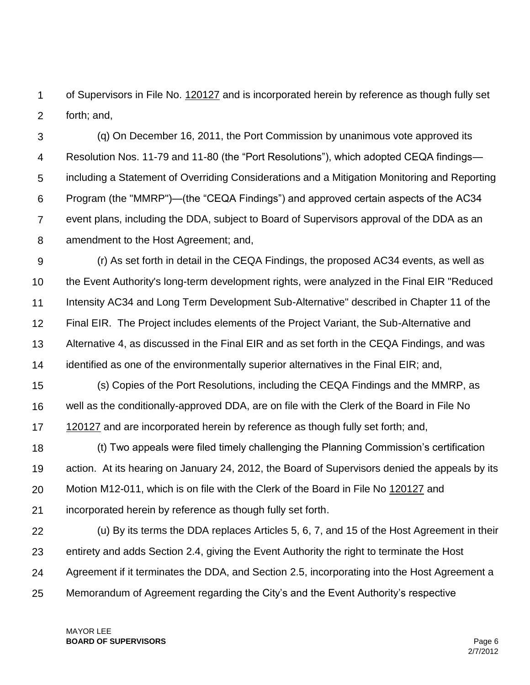1  $\mathcal{P}$ of Supervisors in File No. 120127 and is incorporated herein by reference as though fully set forth; and,

3 4 5 6 7 8 (q) On December 16, 2011, the Port Commission by unanimous vote approved its Resolution Nos. 11-79 and 11-80 (the "Port Resolutions"), which adopted CEQA findings including a Statement of Overriding Considerations and a Mitigation Monitoring and Reporting Program (the "MMRP")—(the "CEQA Findings") and approved certain aspects of the AC34 event plans, including the DDA, subject to Board of Supervisors approval of the DDA as an amendment to the Host Agreement; and,

9 10 11 12 13 14 (r) As set forth in detail in the CEQA Findings, the proposed AC34 events, as well as the Event Authority's long-term development rights, were analyzed in the Final EIR "Reduced Intensity AC34 and Long Term Development Sub-Alternative" described in Chapter 11 of the Final EIR. The Project includes elements of the Project Variant, the Sub-Alternative and Alternative 4, as discussed in the Final EIR and as set forth in the CEQA Findings, and was identified as one of the environmentally superior alternatives in the Final EIR; and,

15 16 17 (s) Copies of the Port Resolutions, including the CEQA Findings and the MMRP, as well as the conditionally-approved DDA, are on file with the Clerk of the Board in File No 120127 and are incorporated herein by reference as though fully set forth; and,

18 19 20 21 (t) Two appeals were filed timely challenging the Planning Commission's certification action. At its hearing on January 24, 2012, the Board of Supervisors denied the appeals by its Motion M12-011, which is on file with the Clerk of the Board in File No 120127 and incorporated herein by reference as though fully set forth.

22 23 24 25 (u) By its terms the DDA replaces Articles 5, 6, 7, and 15 of the Host Agreement in their entirety and adds Section 2.4, giving the Event Authority the right to terminate the Host Agreement if it terminates the DDA, and Section 2.5, incorporating into the Host Agreement a Memorandum of Agreement regarding the City's and the Event Authority's respective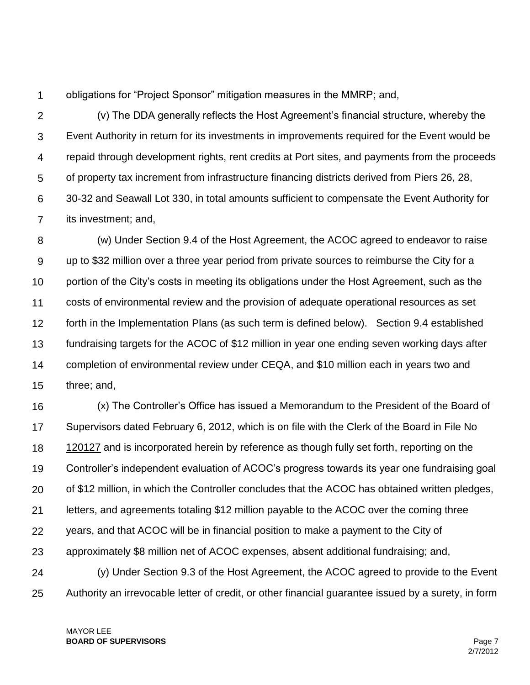1 obligations for "Project Sponsor" mitigation measures in the MMRP; and,

 $\mathcal{P}$ 3 4 5 6 7 (v) The DDA generally reflects the Host Agreement's financial structure, whereby the Event Authority in return for its investments in improvements required for the Event would be repaid through development rights, rent credits at Port sites, and payments from the proceeds of property tax increment from infrastructure financing districts derived from Piers 26, 28, 30-32 and Seawall Lot 330, in total amounts sufficient to compensate the Event Authority for its investment; and,

8 9 10 11 12 13 14 15 (w) Under Section 9.4 of the Host Agreement, the ACOC agreed to endeavor to raise up to \$32 million over a three year period from private sources to reimburse the City for a portion of the City's costs in meeting its obligations under the Host Agreement, such as the costs of environmental review and the provision of adequate operational resources as set forth in the Implementation Plans (as such term is defined below). Section 9.4 established fundraising targets for the ACOC of \$12 million in year one ending seven working days after completion of environmental review under CEQA, and \$10 million each in years two and three; and,

16 17 18 19 20 21 22 23 24 25 (x) The Controller's Office has issued a Memorandum to the President of the Board of Supervisors dated February 6, 2012, which is on file with the Clerk of the Board in File No 120127 and is incorporated herein by reference as though fully set forth, reporting on the Controller's independent evaluation of ACOC's progress towards its year one fundraising goal of \$12 million, in which the Controller concludes that the ACOC has obtained written pledges, letters, and agreements totaling \$12 million payable to the ACOC over the coming three years, and that ACOC will be in financial position to make a payment to the City of approximately \$8 million net of ACOC expenses, absent additional fundraising; and, (y) Under Section 9.3 of the Host Agreement, the ACOC agreed to provide to the Event Authority an irrevocable letter of credit, or other financial guarantee issued by a surety, in form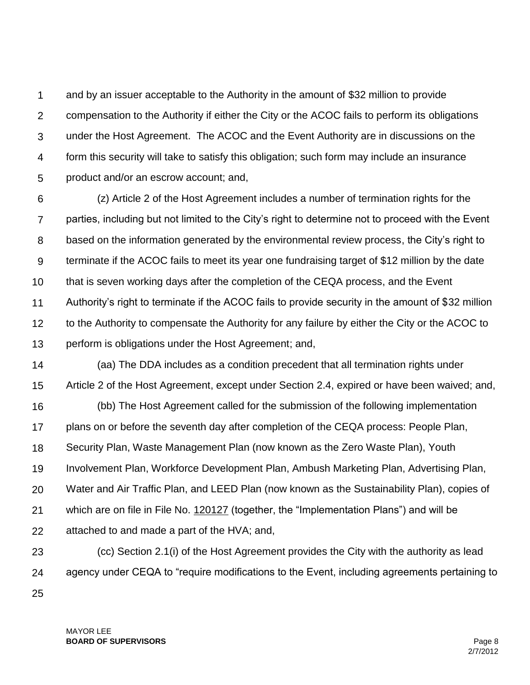1  $\mathcal{P}$ 3 4 5 and by an issuer acceptable to the Authority in the amount of \$32 million to provide compensation to the Authority if either the City or the ACOC fails to perform its obligations under the Host Agreement. The ACOC and the Event Authority are in discussions on the form this security will take to satisfy this obligation; such form may include an insurance product and/or an escrow account; and,

6 7 8 9 10 11 12 13 (z) Article 2 of the Host Agreement includes a number of termination rights for the parties, including but not limited to the City's right to determine not to proceed with the Event based on the information generated by the environmental review process, the City's right to terminate if the ACOC fails to meet its year one fundraising target of \$12 million by the date that is seven working days after the completion of the CEQA process, and the Event Authority's right to terminate if the ACOC fails to provide security in the amount of \$32 million to the Authority to compensate the Authority for any failure by either the City or the ACOC to perform is obligations under the Host Agreement; and,

14 15 16 17 (aa) The DDA includes as a condition precedent that all termination rights under Article 2 of the Host Agreement, except under Section 2.4, expired or have been waived; and, (bb) The Host Agreement called for the submission of the following implementation plans on or before the seventh day after completion of the CEQA process: People Plan,

18 Security Plan, Waste Management Plan (now known as the Zero Waste Plan), Youth

19 Involvement Plan, Workforce Development Plan, Ambush Marketing Plan, Advertising Plan,

20 Water and Air Traffic Plan, and LEED Plan (now known as the Sustainability Plan), copies of

21 which are on file in File No. 120127 (together, the "Implementation Plans") and will be

22 attached to and made a part of the HVA; and,

23 24 25 (cc) Section 2.1(i) of the Host Agreement provides the City with the authority as lead agency under CEQA to "require modifications to the Event, including agreements pertaining to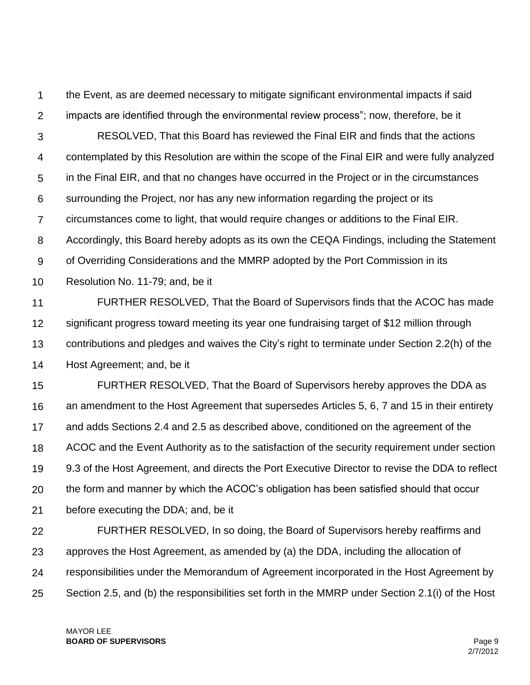1  $\mathcal{P}$ the Event, as are deemed necessary to mitigate significant environmental impacts if said impacts are identified through the environmental review process"; now, therefore, be it

3 4 5 6 7 8 9 10 RESOLVED, That this Board has reviewed the Final EIR and finds that the actions contemplated by this Resolution are within the scope of the Final EIR and were fully analyzed in the Final EIR, and that no changes have occurred in the Project or in the circumstances surrounding the Project, nor has any new information regarding the project or its circumstances come to light, that would require changes or additions to the Final EIR. Accordingly, this Board hereby adopts as its own the CEQA Findings, including the Statement of Overriding Considerations and the MMRP adopted by the Port Commission in its Resolution No. 11-79; and, be it

11 12 13 14 FURTHER RESOLVED, That the Board of Supervisors finds that the ACOC has made significant progress toward meeting its year one fundraising target of \$12 million through contributions and pledges and waives the City's right to terminate under Section 2.2(h) of the Host Agreement; and, be it

15 16 17 18 19 20 21 FURTHER RESOLVED, That the Board of Supervisors hereby approves the DDA as an amendment to the Host Agreement that supersedes Articles 5, 6, 7 and 15 in their entirety and adds Sections 2.4 and 2.5 as described above, conditioned on the agreement of the ACOC and the Event Authority as to the satisfaction of the security requirement under section 9.3 of the Host Agreement, and directs the Port Executive Director to revise the DDA to reflect the form and manner by which the ACOC's obligation has been satisfied should that occur before executing the DDA; and, be it

22 23 24 25 FURTHER RESOLVED, In so doing, the Board of Supervisors hereby reaffirms and approves the Host Agreement, as amended by (a) the DDA, including the allocation of responsibilities under the Memorandum of Agreement incorporated in the Host Agreement by Section 2.5, and (b) the responsibilities set forth in the MMRP under Section 2.1(i) of the Host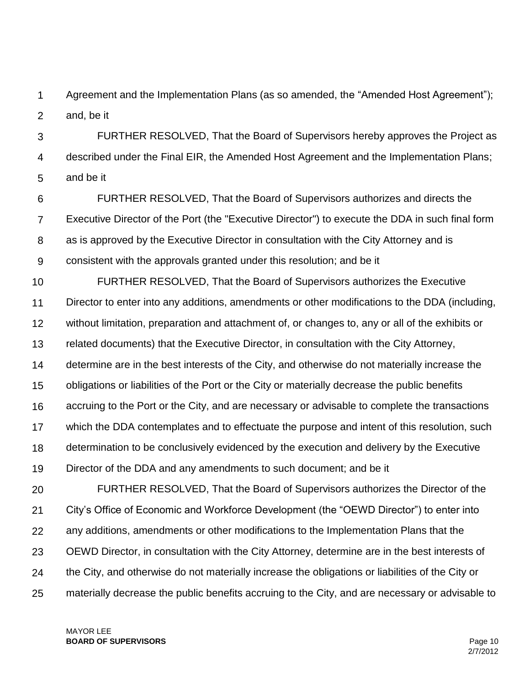1  $\mathcal{P}$ Agreement and the Implementation Plans (as so amended, the "Amended Host Agreement"); and, be it

3 4 5 FURTHER RESOLVED, That the Board of Supervisors hereby approves the Project as described under the Final EIR, the Amended Host Agreement and the Implementation Plans; and be it

6 7 8 9 FURTHER RESOLVED, That the Board of Supervisors authorizes and directs the Executive Director of the Port (the "Executive Director") to execute the DDA in such final form as is approved by the Executive Director in consultation with the City Attorney and is consistent with the approvals granted under this resolution; and be it

10 11 12 13 14 15 16 17 18 19 FURTHER RESOLVED, That the Board of Supervisors authorizes the Executive Director to enter into any additions, amendments or other modifications to the DDA (including, without limitation, preparation and attachment of, or changes to, any or all of the exhibits or related documents) that the Executive Director, in consultation with the City Attorney, determine are in the best interests of the City, and otherwise do not materially increase the obligations or liabilities of the Port or the City or materially decrease the public benefits accruing to the Port or the City, and are necessary or advisable to complete the transactions which the DDA contemplates and to effectuate the purpose and intent of this resolution, such determination to be conclusively evidenced by the execution and delivery by the Executive Director of the DDA and any amendments to such document; and be it

20 21 22 23 24 25 FURTHER RESOLVED, That the Board of Supervisors authorizes the Director of the City's Office of Economic and Workforce Development (the "OEWD Director") to enter into any additions, amendments or other modifications to the Implementation Plans that the OEWD Director, in consultation with the City Attorney, determine are in the best interests of the City, and otherwise do not materially increase the obligations or liabilities of the City or materially decrease the public benefits accruing to the City, and are necessary or advisable to